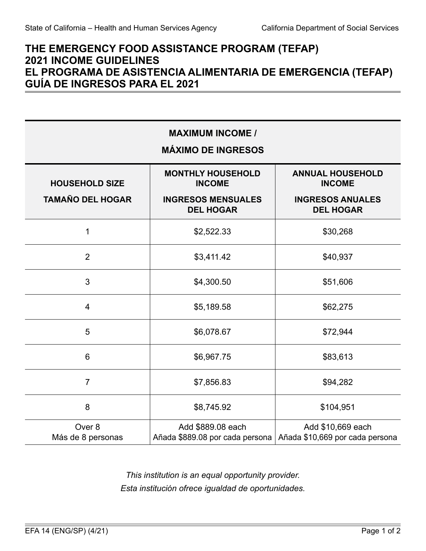## **THE EMERGENCY FOOD ASSISTANCE PROGRAM (TEFAP) 2021 INCOME GUIDELINES EL PROGRAMA DE ASISTENCIA ALIMENTARIA DE EMERGENCIA (TEFAP) GUÍA DE INGRESOS PARA EL 2021**

| <b>MAXIMUM INCOME /</b><br><b>MÁXIMO DE INGRESOS</b> |                                                                                            |                                                                                         |
|------------------------------------------------------|--------------------------------------------------------------------------------------------|-----------------------------------------------------------------------------------------|
| <b>HOUSEHOLD SIZE</b><br><b>TAMAÑO DEL HOGAR</b>     | <b>MONTHLY HOUSEHOLD</b><br><b>INCOME</b><br><b>INGRESOS MENSUALES</b><br><b>DEL HOGAR</b> | <b>ANNUAL HOUSEHOLD</b><br><b>INCOME</b><br><b>INGRESOS ANUALES</b><br><b>DEL HOGAR</b> |
| 1                                                    | \$2,522.33                                                                                 | \$30,268                                                                                |
| $\overline{2}$                                       | \$3,411.42                                                                                 | \$40,937                                                                                |
| 3                                                    | \$4,300.50                                                                                 | \$51,606                                                                                |
| $\overline{\mathcal{A}}$                             | \$5,189.58                                                                                 | \$62,275                                                                                |
| 5                                                    | \$6,078.67                                                                                 | \$72,944                                                                                |
| $6\phantom{1}$                                       | \$6,967.75                                                                                 | \$83,613                                                                                |
| $\overline{7}$                                       | \$7,856.83                                                                                 | \$94,282                                                                                |
| 8                                                    | \$8,745.92                                                                                 | \$104,951                                                                               |
| Over 8<br>Más de 8 personas                          | Add \$889.08 each<br>Añada \$889.08 por cada persona                                       | Add \$10,669 each<br>Añada \$10,669 por cada persona                                    |

*This institution is an equal opportunity provider. Esta institución ofrece igualdad de oportunidades.*